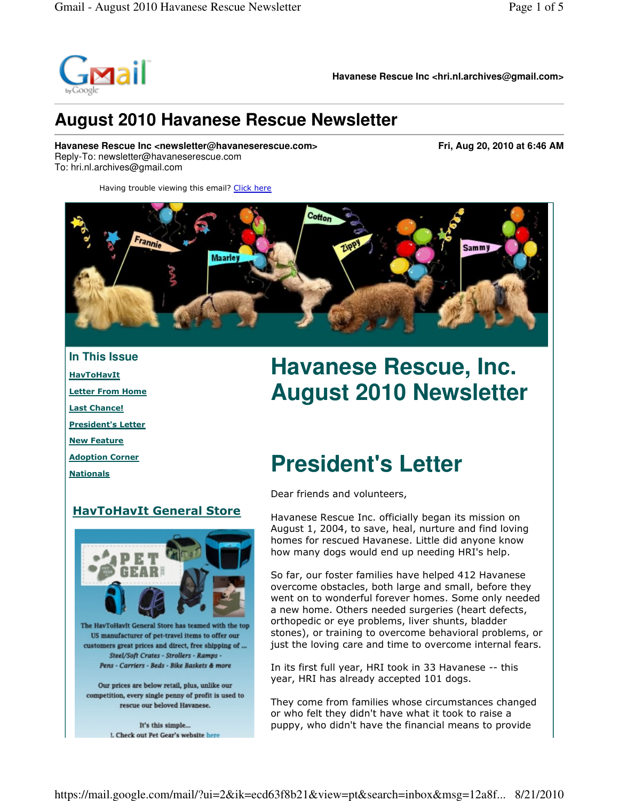

**Havanese Rescue Inc <hri.nl.archives@gmail.com>** 

#### **August 2010 Havanese Rescue Newsletter**

**Havanese Rescue Inc <newsletter@havaneserescue.com> Fri, Aug 20, 2010 at 6:46 AM**  Reply-To: newsletter@havaneserescue.com To: hri.nl.archives@gmail.com

Having trouble viewing this email? Click here



**In This Issue** HavToHavIt Letter From Home Last Chance! President's Letter New Feature Adoption Corner **Nationals** 

# **Havanese Rescue, Inc. August 2010 Newsletter**

### **President's Letter**

Dear friends and volunteers,

Havanese Rescue Inc. officially began its mission on August 1, 2004, to save, heal, nurture and find loving homes for rescued Havanese. Little did anyone know how many dogs would end up needing HRI's help.

So far, our foster families have helped 412 Havanese overcome obstacles, both large and small, before they went on to wonderful forever homes. Some only needed a new home. Others needed surgeries (heart defects, orthopedic or eye problems, liver shunts, bladder stones), or training to overcome behavioral problems, or just the loving care and time to overcome internal fears.

In its first full year, HRI took in 33 Havanese -- this year, HRI has already accepted 101 dogs.

They come from families whose circumstances changed or who felt they didn't have what it took to raise a puppy, who didn't have the financial means to provide

#### HavToHavIt General Store



Our prices are below retail, plus, unlike our competition, every single penny of profit is used to rescue our beloved Havanese.

> It's this simple... 1. Check out Pet Gear's website here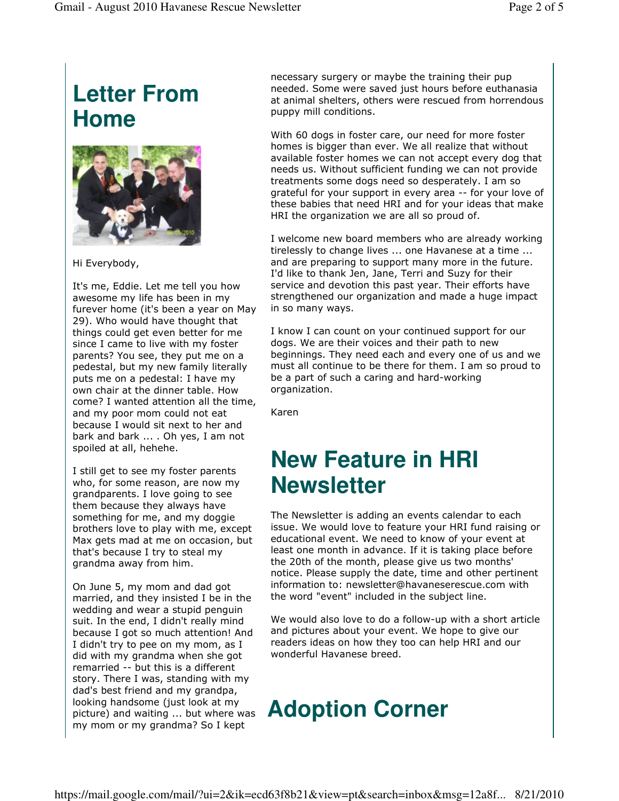#### **Letter From Home**



Hi Everybody,

It's me, Eddie. Let me tell you how awesome my life has been in my furever home (it's been a year on May 29). Who would have thought that things could get even better for me since I came to live with my foster parents? You see, they put me on a pedestal, but my new family literally puts me on a pedestal: I have my own chair at the dinner table. How come? I wanted attention all the time, and my poor mom could not eat because I would sit next to her and bark and bark ... . Oh yes, I am not spoiled at all, hehehe.

I still get to see my foster parents who, for some reason, are now my grandparents. I love going to see them because they always have something for me, and my doggie brothers love to play with me, except Max gets mad at me on occasion, but that's because I try to steal my grandma away from him.

On June 5, my mom and dad got married, and they insisted I be in the wedding and wear a stupid penguin suit. In the end, I didn't really mind because I got so much attention! And I didn't try to pee on my mom, as I did with my grandma when she got remarried -- but this is a different story. There I was, standing with my dad's best friend and my grandpa, looking handsome (just look at my picture) and waiting ... but where was my mom or my grandma? So I kept

necessary surgery or maybe the training their pup needed. Some were saved just hours before euthanasia at animal shelters, others were rescued from horrendous puppy mill conditions.

With 60 dogs in foster care, our need for more foster homes is bigger than ever. We all realize that without available foster homes we can not accept every dog that needs us. Without sufficient funding we can not provide treatments some dogs need so desperately. I am so grateful for your support in every area -- for your love of these babies that need HRI and for your ideas that make HRI the organization we are all so proud of.

I welcome new board members who are already working tirelessly to change lives ... one Havanese at a time ... and are preparing to support many more in the future. I'd like to thank Jen, Jane, Terri and Suzy for their service and devotion this past year. Their efforts have strengthened our organization and made a huge impact in so many ways.

I know I can count on your continued support for our dogs. We are their voices and their path to new beginnings. They need each and every one of us and we must all continue to be there for them. I am so proud to be a part of such a caring and hard-working organization.

Karen

#### **New Feature in HRI Newsletter**

The Newsletter is adding an events calendar to each issue. We would love to feature your HRI fund raising or educational event. We need to know of your event at least one month in advance. If it is taking place before the 20th of the month, please give us two months' notice. Please supply the date, time and other pertinent information to: newsletter@havaneserescue.com with the word "event" included in the subject line.

We would also love to do a follow-up with a short article and pictures about your event. We hope to give our readers ideas on how they too can help HRI and our wonderful Havanese breed.

### **Adoption Corner**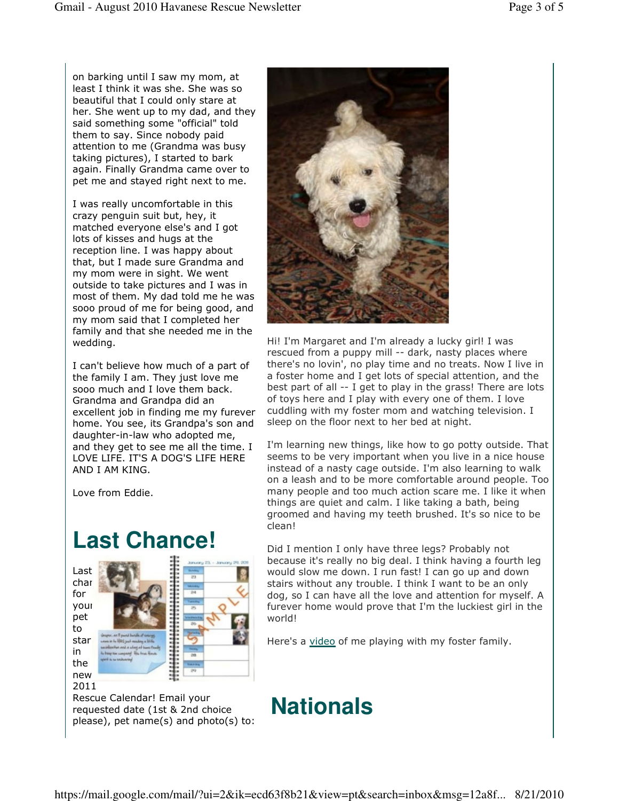on barking until I saw my mom, at least I think it was she. She was so beautiful that I could only stare at her. She went up to my dad, and they said something some "official" told them to say. Since nobody paid attention to me (Grandma was busy taking pictures), I started to bark again. Finally Grandma came over to pet me and stayed right next to me.

I was really uncomfortable in this crazy penguin suit but, hey, it matched everyone else's and I got lots of kisses and hugs at the reception line. I was happy about that, but I made sure Grandma and my mom were in sight. We went outside to take pictures and I was in most of them. My dad told me he was sooo proud of me for being good, and my mom said that I completed her family and that she needed me in the wedding.

I can't believe how much of a part of the family I am. They just love me sooo much and I love them back. Grandma and Grandpa did an excellent job in finding me my furever home. You see, its Grandpa's son and daughter-in-law who adopted me, and they get to see me all the time. I LOVE LIFE. IT'S A DOG'S LIFE HERE AND I AM KING.

Love from Eddie.

## **Last Chance!**

Last char for your pet to

star in the new 2011



Rescue Calendar! Email your requested date (1st & 2nd choice please), pet name(s) and photo(s) to:



Hi! I'm Margaret and I'm already a lucky girl! I was rescued from a puppy mill -- dark, nasty places where there's no lovin', no play time and no treats. Now I live in a foster home and I get lots of special attention, and the best part of all -- I get to play in the grass! There are lots of toys here and I play with every one of them. I love cuddling with my foster mom and watching television. I sleep on the floor next to her bed at night.

I'm learning new things, like how to go potty outside. That seems to be very important when you live in a nice house instead of a nasty cage outside. I'm also learning to walk on a leash and to be more comfortable around people. Too many people and too much action scare me. I like it when things are quiet and calm. I like taking a bath, being groomed and having my teeth brushed. It's so nice to be clean!

Did I mention I only have three legs? Probably not because it's really no big deal. I think having a fourth leg would slow me down. I run fast! I can go up and down stairs without any trouble. I think I want to be an only dog, so I can have all the love and attention for myself. A furever home would prove that I'm the luckiest girl in the world!

Here's a video of me playing with my foster family.

#### **Nationals**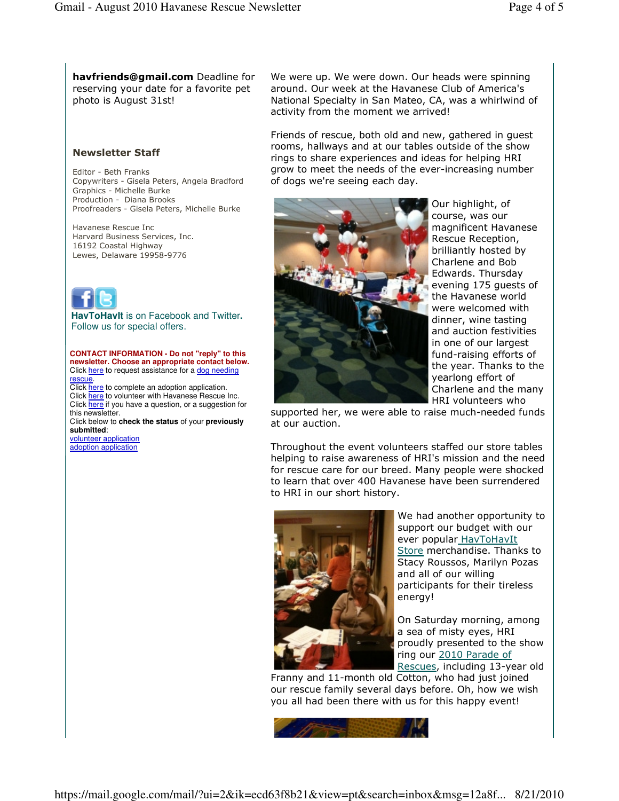havfriends@gmail.com Deadline for reserving your date for a favorite pet photo is August 31st!

#### Newsletter Staff

Editor - Beth Franks Copywriters - Gisela Peters, Angela Bradford Graphics - Michelle Burke Production - Diana Brooks Proofreaders - Gisela Peters, Michelle Burke

Havanese Rescue Inc Harvard Business Services, Inc. 16192 Coastal Highway Lewes, Delaware 19958-9776



**HavToHavIt** is on Facebook and Twitter**.**  Follow us for special offers.

**CONTACT INFORMATION - Do not "reply" to this newsletter. Choose an appropriate contact below.** Click here to request assistance for a dog needing **rescue** 

Click here to complete an adoption application. Click here to volunteer with Havanese Rescue Inc. Click here if you have a question, or a suggestion for this newsletter.

Click below to **check the status** of your **previously submitted**:

volunteer application adoption application

We were up. We were down. Our heads were spinning around. Our week at the Havanese Club of America's National Specialty in San Mateo, CA, was a whirlwind of activity from the moment we arrived!

Friends of rescue, both old and new, gathered in guest rooms, hallways and at our tables outside of the show rings to share experiences and ideas for helping HRI grow to meet the needs of the ever-increasing number of dogs we're seeing each day.



Our highlight, of course, was our magnificent Havanese Rescue Reception, brilliantly hosted by Charlene and Bob Edwards. Thursday evening 175 guests of the Havanese world were welcomed with dinner, wine tasting and auction festivities in one of our largest fund-raising efforts of the year. Thanks to the yearlong effort of Charlene and the many HRI volunteers who

supported her, we were able to raise much-needed funds at our auction.

Throughout the event volunteers staffed our store tables helping to raise awareness of HRI's mission and the need for rescue care for our breed. Many people were shocked to learn that over 400 Havanese have been surrendered to HRI in our short history.



We had another opportunity to support our budget with our ever popular\_HavToHavIt Store merchandise. Thanks to Stacy Roussos, Marilyn Pozas and all of our willing participants for their tireless energy!

On Saturday morning, among a sea of misty eyes, HRI proudly presented to the show ring our 2010 Parade of Rescues, including 13-year old

Franny and 11-month old Cotton, who had just joined our rescue family several days before. Oh, how we wish you all had been there with us for this happy event!